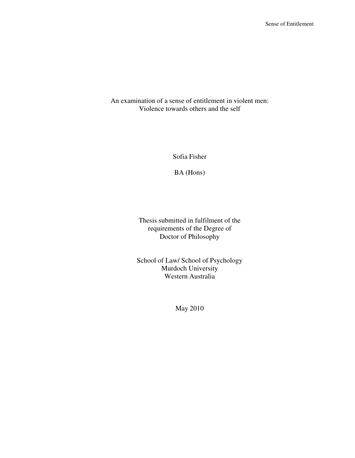An examination of a sense of entitlement in violent men: Violence towards others and the self

Sofia Fisher

BA (Hons)

Thesis submitted in fulfilment of the requirements of the Degree of Doctor of Philosophy

School of Law/ School of Psychology Murdoch University Western Australia

May 2010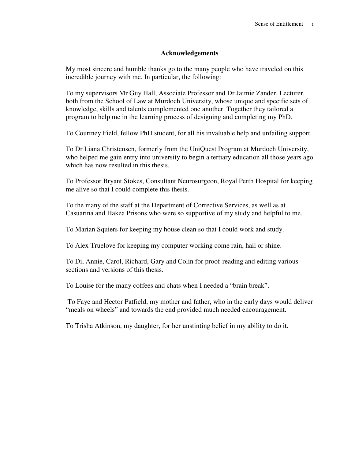# **Acknowledgements**

My most sincere and humble thanks go to the many people who have traveled on this incredible journey with me. In particular, the following:

To my supervisors Mr Guy Hall, Associate Professor and Dr Jaimie Zander, Lecturer, both from the School of Law at Murdoch University, whose unique and specific sets of knowledge, skills and talents complemented one another. Together they tailored a program to help me in the learning process of designing and completing my PhD.

To Courtney Field, fellow PhD student, for all his invaluable help and unfailing support.

To Dr Liana Christensen, formerly from the UniQuest Program at Murdoch University, who helped me gain entry into university to begin a tertiary education all those years ago which has now resulted in this thesis.

To Professor Bryant Stokes, Consultant Neurosurgeon, Royal Perth Hospital for keeping me alive so that I could complete this thesis.

To the many of the staff at the Department of Corrective Services, as well as at Casuarina and Hakea Prisons who were so supportive of my study and helpful to me.

To Marian Squiers for keeping my house clean so that I could work and study.

To Alex Truelove for keeping my computer working come rain, hail or shine.

To Di, Annie, Carol, Richard, Gary and Colin for proof-reading and editing various sections and versions of this thesis.

To Louise for the many coffees and chats when I needed a "brain break".

 To Faye and Hector Patfield, my mother and father, who in the early days would deliver "meals on wheels" and towards the end provided much needed encouragement.

To Trisha Atkinson, my daughter, for her unstinting belief in my ability to do it.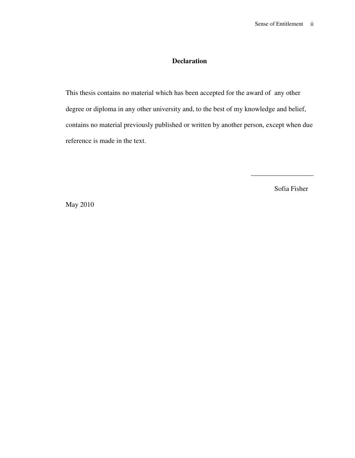# **Declaration**

This thesis contains no material which has been accepted for the award of any other degree or diploma in any other university and, to the best of my knowledge and belief, contains no material previously published or written by another person, except when due reference is made in the text.

Sofia Fisher

 $\frac{1}{2}$  ,  $\frac{1}{2}$  ,  $\frac{1}{2}$  ,  $\frac{1}{2}$  ,  $\frac{1}{2}$  ,  $\frac{1}{2}$  ,  $\frac{1}{2}$  ,  $\frac{1}{2}$  ,  $\frac{1}{2}$  ,  $\frac{1}{2}$  ,  $\frac{1}{2}$  ,  $\frac{1}{2}$  ,  $\frac{1}{2}$  ,  $\frac{1}{2}$  ,  $\frac{1}{2}$  ,  $\frac{1}{2}$  ,  $\frac{1}{2}$  ,  $\frac{1}{2}$  ,  $\frac{1$ 

May 2010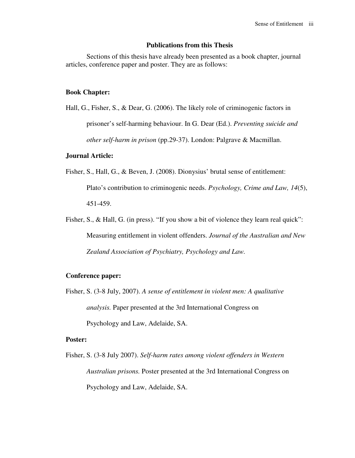## **Publications from this Thesis**

Sections of this thesis have already been presented as a book chapter, journal articles, conference paper and poster. They are as follows:

## **Book Chapter:**

Hall, G., Fisher, S., & Dear, G. (2006). The likely role of criminogenic factors in prisoner's self-harming behaviour. In G. Dear (Ed.). *Preventing suicide and other self-harm in prison* (pp.29-37). London: Palgrave & Macmillan.

## **Journal Article:**

- Fisher, S., Hall, G., & Beven, J. (2008). Dionysius' brutal sense of entitlement: Plato's contribution to criminogenic needs. *Psychology, Crime and Law, 14*(5), 451-459.
- Fisher, S., & Hall, G. (in press). "If you show a bit of violence they learn real quick": Measuring entitlement in violent offenders. *Journal of the Australian and New Zealand Association of Psychiatry, Psychology and Law.*

## **Conference paper:**

Fisher, S. (3-8 July, 2007). *A sense of entitlement in violent men: A qualitative analysis.* Paper presented at the 3rd International Congress on Psychology and Law, Adelaide, SA.

### **Poster:**

Fisher, S. (3-8 July 2007). *Self-harm rates among violent offenders in Western Australian prisons.* Poster presented at the 3rd International Congress on Psychology and Law, Adelaide, SA.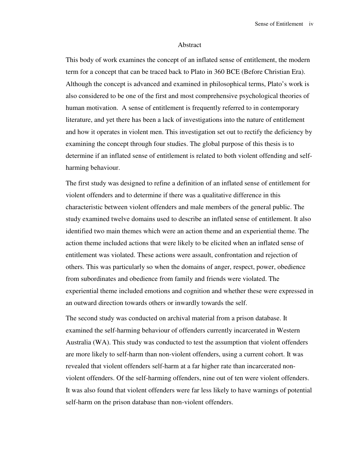#### Abstract

This body of work examines the concept of an inflated sense of entitlement, the modern term for a concept that can be traced back to Plato in 360 BCE (Before Christian Era). Although the concept is advanced and examined in philosophical terms, Plato's work is also considered to be one of the first and most comprehensive psychological theories of human motivation. A sense of entitlement is frequently referred to in contemporary literature, and yet there has been a lack of investigations into the nature of entitlement and how it operates in violent men. This investigation set out to rectify the deficiency by examining the concept through four studies. The global purpose of this thesis is to determine if an inflated sense of entitlement is related to both violent offending and selfharming behaviour.

The first study was designed to refine a definition of an inflated sense of entitlement for violent offenders and to determine if there was a qualitative difference in this characteristic between violent offenders and male members of the general public. The study examined twelve domains used to describe an inflated sense of entitlement. It also identified two main themes which were an action theme and an experiential theme. The action theme included actions that were likely to be elicited when an inflated sense of entitlement was violated. These actions were assault, confrontation and rejection of others. This was particularly so when the domains of anger, respect, power, obedience from subordinates and obedience from family and friends were violated. The experiential theme included emotions and cognition and whether these were expressed in an outward direction towards others or inwardly towards the self.

The second study was conducted on archival material from a prison database. It examined the self-harming behaviour of offenders currently incarcerated in Western Australia (WA). This study was conducted to test the assumption that violent offenders are more likely to self-harm than non-violent offenders, using a current cohort. It was revealed that violent offenders self-harm at a far higher rate than incarcerated nonviolent offenders. Of the self-harming offenders, nine out of ten were violent offenders. It was also found that violent offenders were far less likely to have warnings of potential self-harm on the prison database than non-violent offenders.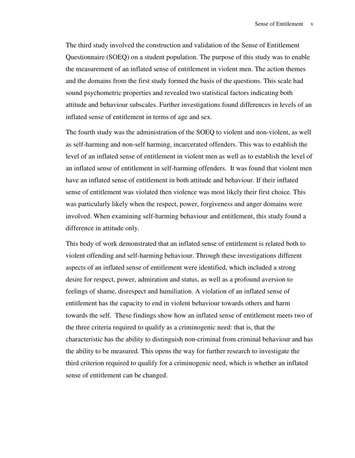The third study involved the construction and validation of the Sense of Entitlement Questionnaire (SOEQ) on a student population. The purpose of this study was to enable the measurement of an inflated sense of entitlement in violent men. The action themes and the domains from the first study formed the basis of the questions. This scale had sound psychometric properties and revealed two statistical factors indicating both attitude and behaviour subscales. Further investigations found differences in levels of an inflated sense of entitlement in terms of age and sex.

The fourth study was the administration of the SOEQ to violent and non-violent, as well as self-harming and non-self harming, incarcerated offenders. This was to establish the level of an inflated sense of entitlement in violent men as well as to establish the level of an inflated sense of entitlement in self-harming offenders. It was found that violent men have an inflated sense of entitlement in both attitude and behaviour. If their inflated sense of entitlement was violated then violence was most likely their first choice. This was particularly likely when the respect, power, forgiveness and anger domains were involved. When examining self-harming behaviour and entitlement, this study found a difference in attitude only.

This body of work demonstrated that an inflated sense of entitlement is related both to violent offending and self-harming behaviour. Through these investigations different aspects of an inflated sense of entitlement were identified, which included a strong desire for respect, power, admiration and status, as well as a profound aversion to feelings of shame, disrespect and humiliation. A violation of an inflated sense of entitlement has the capacity to end in violent behaviour towards others and harm towards the self. These findings show how an inflated sense of entitlement meets two of the three criteria required to qualify as a criminogenic need: that is, that the characteristic has the ability to distinguish non-criminal from criminal behaviour and has the ability to be measured. This opens the way for further research to investigate the third criterion required to qualify for a criminogenic need, which is whether an inflated sense of entitlement can be changed.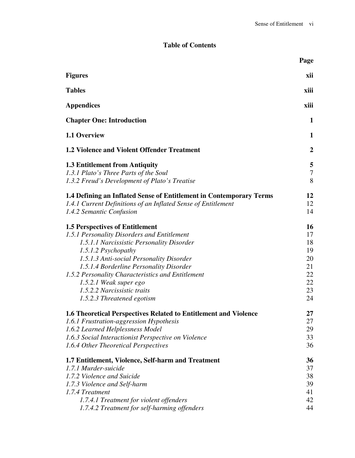# **Table of Contents**

|                                                                                                                                                                                                                                                                                                                                                                                              | Page                                                     |
|----------------------------------------------------------------------------------------------------------------------------------------------------------------------------------------------------------------------------------------------------------------------------------------------------------------------------------------------------------------------------------------------|----------------------------------------------------------|
| <b>Figures</b>                                                                                                                                                                                                                                                                                                                                                                               | xii                                                      |
| <b>Tables</b>                                                                                                                                                                                                                                                                                                                                                                                | xiii                                                     |
| <b>Appendices</b>                                                                                                                                                                                                                                                                                                                                                                            | xiii                                                     |
| <b>Chapter One: Introduction</b>                                                                                                                                                                                                                                                                                                                                                             | 1                                                        |
| 1.1 Overview                                                                                                                                                                                                                                                                                                                                                                                 | 1                                                        |
| <b>1.2 Violence and Violent Offender Treatment</b>                                                                                                                                                                                                                                                                                                                                           | $\boldsymbol{2}$                                         |
| <b>1.3 Entitlement from Antiquity</b><br>1.3.1 Plato's Three Parts of the Soul<br>1.3.2 Freud's Development of Plato's Treatise                                                                                                                                                                                                                                                              | 5<br>$\overline{7}$<br>8                                 |
| 1.4 Defining an Inflated Sense of Entitlement in Contemporary Terms<br>1.4.1 Current Definitions of an Inflated Sense of Entitlement<br>1.4.2 Semantic Confusion                                                                                                                                                                                                                             | 12<br>12<br>14                                           |
| <b>1.5 Perspectives of Entitlement</b><br>1.5.1 Personality Disorders and Entitlement<br>1.5.1.1 Narcissistic Personality Disorder<br>1.5.1.2 Psychopathy<br>1.5.1.3 Anti-social Personality Disorder<br>1.5.1.4 Borderline Personality Disorder<br>1.5.2 Personality Characteristics and Entitlement<br>1.5.2.1 Weak super ego<br>1.5.2.2 Narcissistic traits<br>1.5.2.3 Threatened egotism | 16<br>17<br>18<br>19<br>20<br>21<br>22<br>22<br>23<br>24 |
| <b>1.6 Theoretical Perspectives Related to Entitlement and Violence</b><br>1.6.1 Frustration-aggression Hypothesis<br>1.6.2 Learned Helplessness Model<br>1.6.3 Social Interactionist Perspective on Violence<br>1.6.4 Other Theoretical Perspectives<br>1.7 Entitlement, Violence, Self-harm and Treatment<br>1.7.1 Murder-suicide                                                          | 27<br>27<br>29<br>33<br>36<br>36<br>37                   |
| 1.7.2 Violence and Suicide<br>1.7.3 Violence and Self-harm<br>1.7.4 Treatment<br>1.7.4.1 Treatment for violent offenders<br>1.7.4.2 Treatment for self-harming offenders                                                                                                                                                                                                                     | 38<br>39<br>41<br>42<br>44                               |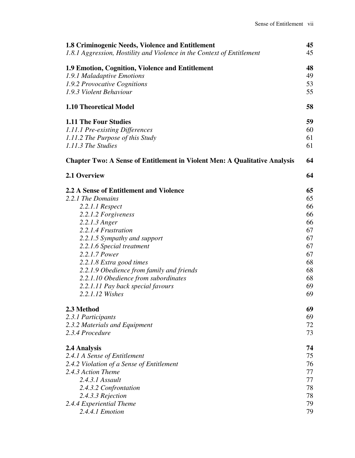| 1.8 Criminogenic Needs, Violence and Entitlement<br>1.8.1 Aggression, Hostility and Violence in the Context of Entitlement | 45<br>45 |
|----------------------------------------------------------------------------------------------------------------------------|----------|
| 1.9 Emotion, Cognition, Violence and Entitlement                                                                           | 48       |
| 1.9.1 Maladaptive Emotions                                                                                                 | 49       |
| 1.9.2 Provocative Cognitions                                                                                               | 53       |
| 1.9.3 Violent Behaviour                                                                                                    | 55       |
| 1.10 Theoretical Model                                                                                                     | 58       |
| <b>1.11 The Four Studies</b>                                                                                               | 59       |
| 1.11.1 Pre-existing Differences                                                                                            | 60       |
| 1.11.2 The Purpose of this Study                                                                                           | 61       |
| 1.11.3 The Studies                                                                                                         | 61       |
| <b>Chapter Two: A Sense of Entitlement in Violent Men: A Qualitative Analysis</b>                                          | 64       |
| 2.1 Overview                                                                                                               | 64       |
| 2.2 A Sense of Entitlement and Violence                                                                                    | 65       |
| 2.2.1 The Domains                                                                                                          | 65       |
| 2.2.1.1 Respect                                                                                                            | 66       |
| 2.2.1.2 Forgiveness                                                                                                        | 66       |
| 2.2.1.3 Anger                                                                                                              | 66       |
| 2.2.1.4 Frustration                                                                                                        | 67<br>67 |
| 2.2.1.5 Sympathy and support<br>2.2.1.6 Special treatment                                                                  | 67       |
| 2.2.1.7 Power                                                                                                              | 67       |
| 2.2.1.8 Extra good times                                                                                                   | 68       |
| 2.2.1.9 Obedience from family and friends                                                                                  | 68       |
| 2.2.1.10 Obedience from subordinates                                                                                       | 68       |
| 2.2.1.11 Pay back special favours                                                                                          | 69       |
| 2.2.1.12 Wishes                                                                                                            | 69       |
| 2.3 Method                                                                                                                 | 69       |
| 2.3.1 Participants                                                                                                         | 69       |
| 2.3.2 Materials and Equipment                                                                                              | 72       |
| 2.3.4 Procedure                                                                                                            | 73       |
| 2.4 Analysis                                                                                                               | 74       |
| 2.4.1 A Sense of Entitlement                                                                                               | 75       |
| 2.4.2 Violation of a Sense of Entitlement                                                                                  | 76       |
| 2.4.3 Action Theme                                                                                                         | 77       |
| 2.4.3.1 Assault                                                                                                            | 77       |
| 2.4.3.2 Confrontation                                                                                                      | 78       |
| 2.4.3.3 Rejection<br>2.4.4 Experiential Theme                                                                              | 78<br>79 |
| 2.4.4.1 Emotion                                                                                                            | 79       |
|                                                                                                                            |          |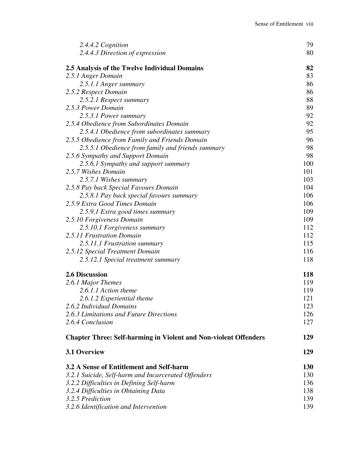| 2.4.4.2 Cognition                                                       | 79         |
|-------------------------------------------------------------------------|------------|
| 2.4.4.3 Direction of expression                                         | 80         |
| 2.5 Analysis of the Twelve Individual Domains                           | 82         |
| 2.5.1 Anger Domain                                                      | 83         |
| 2.5.1.1 Anger summary                                                   | 86         |
| 2.5.2 Respect Domain                                                    | 86         |
| 2.5.2.1 Respect summary                                                 | 88         |
| 2.5.3 Power Domain                                                      | 89         |
| 2.5.3.1 Power summary                                                   | 92         |
| 2.5.4 Obedience from Subordinates Domain                                | 92         |
| 2.5.4.1 Obedience from subordinates summary                             | 95         |
| 2.5.5 Obedience from Family and Friends Domain                          | 96         |
| 2.5.5.1 Obedience from family and friends summary                       | 98         |
| 2.5.6 Sympathy and Support Domain                                       | 98         |
| 2.5.6.1 Sympathy and support summary                                    | 100        |
| 2.5.7 Wishes Domain                                                     | 101        |
| 2.5.7.1 Wishes summary                                                  | 103        |
| 2.5.8 Pay back Special Favours Domain                                   | 104        |
| 2.5.8.1 Pay back special favours summary                                | 106        |
| 2.5.9 Extra Good Times Domain                                           | 106        |
| 2.5.9.1 Extra good times summary                                        | 109        |
| 2.5.10 Forgiveness Domain                                               | 109        |
| 2.5.10.1 Forgiveness summary                                            | 112        |
| 2.5.11 Frustration Domain                                               | 112        |
| 2.5.11.1 Frustration summary                                            | 115        |
| 2.5.12 Special Treatment Domain                                         | 116        |
| 2.5.12.1 Special treatment summary                                      | 118        |
| 2.6 Discussion                                                          | 118        |
| 2.6.1 Major Themes                                                      | 119        |
| 2.6.1.1 Action theme                                                    | 119        |
| 2.6.1.2 Experiential theme                                              | 121        |
| 2.6.2 Individual Domains                                                | 123        |
| 2.6.3 Limitations and Future Directions                                 | 126        |
| 2.6.4 Conclusion                                                        | 127        |
| <b>Chapter Three: Self-harming in Violent and Non-violent Offenders</b> | 129        |
| 3.1 Overview                                                            | 129        |
| 3.2 A Sense of Entitlement and Self-harm                                | <b>130</b> |
| 3.2.1 Suicide, Self-harm and Incarcerated Offenders                     | 130        |
| 3.2.2 Difficulties in Defining Self-harm                                | 136        |
| 3.2.4 Difficulties in Obtaining Data                                    | 138        |
| 3.2.5 Prediction                                                        | 139        |
| 3.2.6 Identification and Intervention                                   | 139        |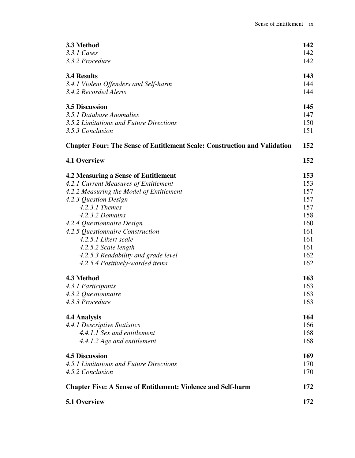| 3.3 Method                                                                       | 142 |
|----------------------------------------------------------------------------------|-----|
| 3.3.1 Cases                                                                      | 142 |
| 3.3.2 Procedure                                                                  | 142 |
| <b>3.4 Results</b>                                                               | 143 |
| 3.4.1 Violent Offenders and Self-harm                                            | 144 |
| 3.4.2 Recorded Alerts                                                            | 144 |
| <b>3.5 Discussion</b>                                                            | 145 |
| 3.5.1 Database Anomalies                                                         | 147 |
| 3.5.2 Limitations and Future Directions                                          | 150 |
| 3.5.3 Conclusion                                                                 | 151 |
| <b>Chapter Four: The Sense of Entitlement Scale: Construction and Validation</b> | 152 |
| <b>4.1 Overview</b>                                                              | 152 |
| 4.2 Measuring a Sense of Entitlement                                             | 153 |
| 4.2.1 Current Measures of Entitlement                                            | 153 |
| 4.2.2 Measuring the Model of Entitlement                                         | 157 |
| 4.2.3 Question Design                                                            | 157 |
| $4.2.3.1$ Themes                                                                 | 157 |
| 4.2.3.2 Domains                                                                  | 158 |
| 4.2.4 Questionnaire Design                                                       | 160 |
| 4.2.5 Questionnaire Construction                                                 | 161 |
| 4.2.5.1 Likert scale                                                             | 161 |
| 4.2.5.2 Scale length                                                             | 161 |
| 4.2.5.3 Readability and grade level                                              | 162 |
| 4.2.5.4 Positively-worded items                                                  | 162 |
| 4.3 Method                                                                       | 163 |
| 4.3.1 Participants                                                               | 163 |
| 4.3.2 Questionnaire                                                              | 163 |
| 4.3.3 Procedure                                                                  | 163 |
| <b>4.4 Analysis</b>                                                              | 164 |
| 4.4.1 Descriptive Statistics                                                     | 166 |
| 4.4.1.1 Sex and entitlement                                                      | 168 |
| 4.4.1.2 Age and entitlement                                                      | 168 |
| <b>4.5 Discussion</b>                                                            | 169 |
| 4.5.1 Limitations and Future Directions                                          | 170 |
| 4.5.2 Conclusion                                                                 | 170 |
| <b>Chapter Five: A Sense of Entitlement: Violence and Self-harm</b>              | 172 |
| 5.1 Overview                                                                     | 172 |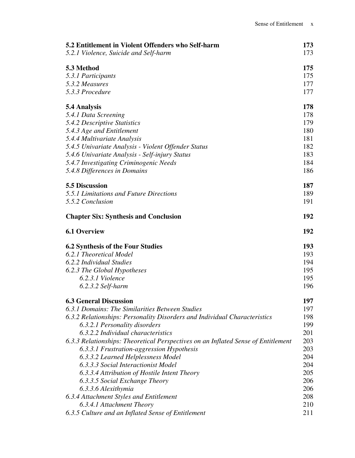| 5.2 Entitlement in Violent Offenders who Self-harm                                | 173        |
|-----------------------------------------------------------------------------------|------------|
| 5.2.1 Violence, Suicide and Self-harm                                             | 173        |
| 5.3 Method                                                                        | 175        |
| 5.3.1 Participants                                                                | 175        |
| 5.3.2 Measures                                                                    | 177        |
| 5.3.3 Procedure                                                                   | 177        |
| 5.4 Analysis                                                                      | 178        |
| 5.4.1 Data Screening                                                              | 178        |
| 5.4.2 Descriptive Statistics                                                      | 179        |
| 5.4.3 Age and Entitlement                                                         | 180        |
| 5.4.4 Multivariate Analysis                                                       | 181        |
| 5.4.5 Univariate Analysis - Violent Offender Status                               | 182        |
| 5.4.6 Univariate Analysis - Self-injury Status                                    | 183        |
| 5.4.7 Investigating Criminogenic Needs                                            | 184        |
| 5.4.8 Differences in Domains                                                      | 186        |
| 5.5 Discussion                                                                    | 187        |
| 5.5.1 Limitations and Future Directions                                           | 189        |
| 5.5.2 Conclusion                                                                  | 191        |
| <b>Chapter Six: Synthesis and Conclusion</b>                                      | 192        |
| <b>6.1 Overview</b>                                                               | 192        |
| <b>6.2 Synthesis of the Four Studies</b>                                          | <b>193</b> |
| 6.2.1 Theoretical Model                                                           | 193        |
| 6.2.2 Individual Studies                                                          | 194        |
| 6.2.3 The Global Hypotheses                                                       | 195        |
| 6.2.3.1 Violence                                                                  | 195        |
| $6.2.3.2$ Self-harm                                                               | 196        |
| <b>6.3 General Discussion</b>                                                     | 197        |
| 6.3.1 Domains: The Similarities Between Studies                                   | 197        |
| 6.3.2 Relationships: Personality Disorders and Individual Characteristics         | 198        |
| 6.3.2.1 Personality disorders                                                     | 199        |
| 6.3.2.2 Individual characteristics                                                | 201        |
| 6.3.3 Relationships: Theoretical Perspectives on an Inflated Sense of Entitlement | 203        |
| 6.3.3.1 Frustration-aggression Hypothesis                                         | 203        |
| 6.3.3.2 Learned Helplessness Model                                                | 204        |
| 6.3.3.3 Social Interactionist Model                                               | 204        |
| 6.3.3.4 Attribution of Hostile Intent Theory                                      | 205        |
| 6.3.3.5 Social Exchange Theory                                                    | 206        |
| 6.3.3.6 Alexithymia                                                               | 206        |
| 6.3.4 Attachment Styles and Entitlement                                           | 208        |
| 6.3.4.1 Attachment Theory                                                         | 210        |
| 6.3.5 Culture and an Inflated Sense of Entitlement                                | 211        |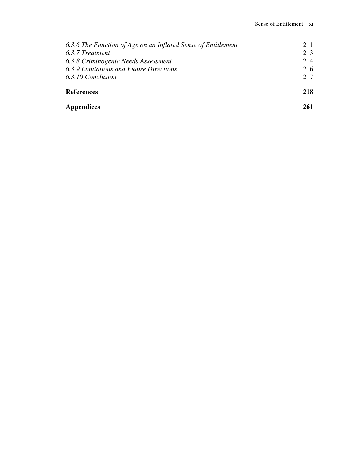| 6.3.6 The Function of Age on an Inflated Sense of Entitlement | 211 |
|---------------------------------------------------------------|-----|
| 6.3.7 Treatment                                               | 213 |
| 6.3.8 Criminogenic Needs Assessment                           | 214 |
| 6.3.9 Limitations and Future Directions                       | 216 |
| 6.3.10 Conclusion                                             | 217 |
| <b>References</b>                                             | 218 |
| <b>Appendices</b>                                             | 261 |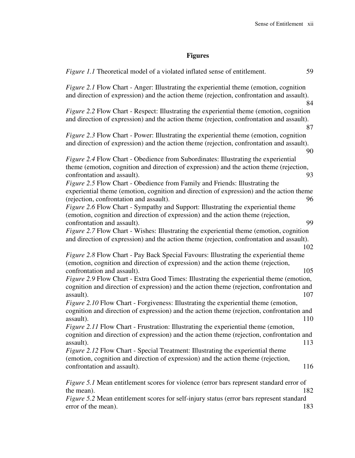# **Figures**

| <i>Figure 1.1</i> Theoretical model of a violated inflated sense of entitlement.                                                                                                                                                                                                                               | 59 |
|----------------------------------------------------------------------------------------------------------------------------------------------------------------------------------------------------------------------------------------------------------------------------------------------------------------|----|
| <i>Figure 2.1</i> Flow Chart - Anger: Illustrating the experiential theme (emotion, cognition<br>and direction of expression) and the action theme (rejection, confrontation and assault).                                                                                                                     | 84 |
| <i>Figure 2.2 Flow Chart - Respect: Illustrating the experiential theme (emotion, cognition)</i><br>and direction of expression) and the action theme (rejection, confrontation and assault).                                                                                                                  | 87 |
| <i>Figure 2.3</i> Flow Chart - Power: Illustrating the experiential theme (emotion, cognition<br>and direction of expression) and the action theme (rejection, confrontation and assault).                                                                                                                     | 90 |
| <i>Figure 2.4</i> Flow Chart - Obedience from Subordinates: Illustrating the experiential<br>theme (emotion, cognition and direction of expression) and the action theme (rejection,<br>confrontation and assault).                                                                                            | 93 |
| Figure 2.5 Flow Chart - Obedience from Family and Friends: Illustrating the<br>experiential theme (emotion, cognition and direction of expression) and the action theme<br>(rejection, confrontation and assault).<br><i>Figure 2.6</i> Flow Chart - Sympathy and Support: Illustrating the experiential theme | 96 |
| (emotion, cognition and direction of expression) and the action theme (rejection,<br>confrontation and assault).                                                                                                                                                                                               | 99 |
| <i>Figure 2.7</i> Flow Chart - Wishes: Illustrating the experiential theme (emotion, cognition<br>and direction of expression) and the action theme (rejection, confrontation and assault).<br>102                                                                                                             |    |
| <i>Figure 2.8</i> Flow Chart - Pay Back Special Favours: Illustrating the experiential theme<br>(emotion, cognition and direction of expression) and the action theme (rejection,<br>confrontation and assault).<br>105                                                                                        |    |
| Figure 2.9 Flow Chart - Extra Good Times: Illustrating the experiential theme (emotion,<br>cognition and direction of expression) and the action theme (rejection, confrontation and<br>assault).<br>107                                                                                                       |    |
| Figure 2.10 Flow Chart - Forgiveness: Illustrating the experiential theme (emotion,<br>cognition and direction of expression) and the action theme (rejection, confrontation and<br>assault).<br>110                                                                                                           |    |
| <i>Figure 2.11</i> Flow Chart - Frustration: Illustrating the experiential theme (emotion,<br>cognition and direction of expression) and the action theme (rejection, confrontation and<br>assault).<br>113                                                                                                    |    |
| <i>Figure 2.12</i> Flow Chart - Special Treatment: Illustrating the experiential theme<br>(emotion, cognition and direction of expression) and the action theme (rejection,<br>confrontation and assault).<br>116                                                                                              |    |
| <i>Figure 5.1</i> Mean entitlement scores for violence (error bars represent standard error of<br>the mean).<br>182<br>Figure 5.2 Mean entitlement scores for self-injury status (error bars represent standard<br>error of the mean).<br>183                                                                  |    |
|                                                                                                                                                                                                                                                                                                                |    |